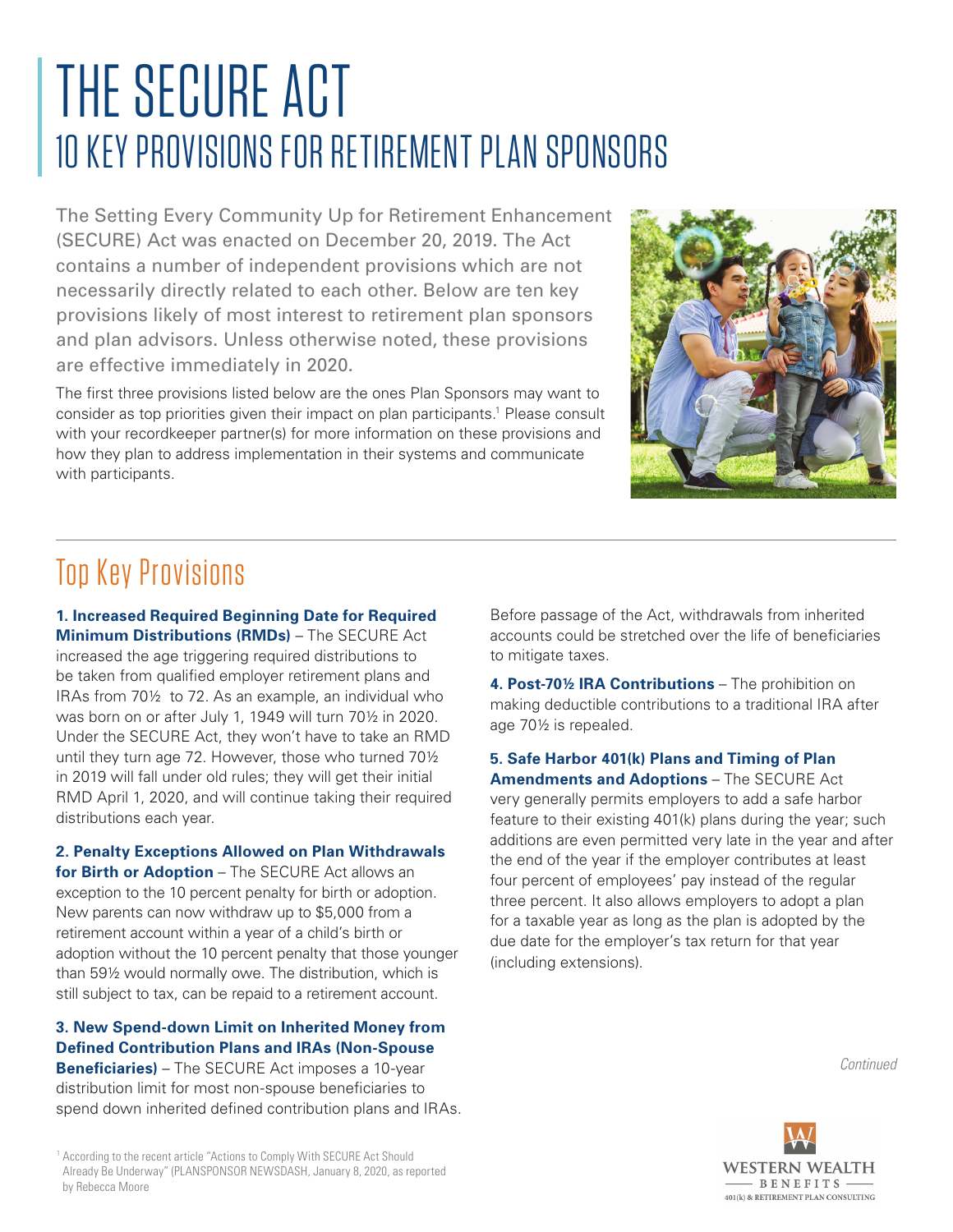# THE SECURE ACT 10 KEY PROVISIONS FOR RETIREMENT PLAN SPONSORS

The Setting Every Community Up for Retirement Enhancement (SECURE) Act was enacted on December 20, 2019. The Act contains a number of independent provisions which are not necessarily directly related to each other. Below are ten key provisions likely of most interest to retirement plan sponsors and plan advisors. Unless otherwise noted, these provisions are effective immediately in 2020.

The first three provisions listed below are the ones Plan Sponsors may want to consider as top priorities given their impact on plan participants.<sup>1</sup> Please consult with your recordkeeper partner(s) for more information on these provisions and how they plan to address implementation in their systems and communicate with participants.



## Top Key Provisions

**1. Increased Required Beginning Date for Required Minimum Distributions (RMDs)** – The SECURE Act increased the age triggering required distributions to be taken from qualified employer retirement plans and IRAs from 70½ to 72. As an example, an individual who was born on or after July 1, 1949 will turn 70½ in 2020. Under the SECURE Act, they won't have to take an RMD until they turn age 72. However, those who turned 70½ in 2019 will fall under old rules; they will get their initial RMD April 1, 2020, and will continue taking their required distributions each year.

**2. Penalty Exceptions Allowed on Plan Withdrawals for Birth or Adoption** – The SECURE Act allows an exception to the 10 percent penalty for birth or adoption. New parents can now withdraw up to \$5,000 from a retirement account within a year of a child's birth or adoption without the 10 percent penalty that those younger than 59½ would normally owe. The distribution, which is still subject to tax, can be repaid to a retirement account.

**3. New Spend-down Limit on Inherited Money from Defined Contribution Plans and IRAs (Non-Spouse Beneficiaries)** – The SECURE Act imposes a 10-year

distribution limit for most non-spouse beneficiaries to spend down inherited defined contribution plans and IRAs.

Before passage of the Act, withdrawals from inherited accounts could be stretched over the life of beneficiaries to mitigate taxes.

**4. Post-70½ IRA Contributions** – The prohibition on making deductible contributions to a traditional IRA after age 70½ is repealed.

**5. Safe Harbor 401(k) Plans and Timing of Plan Amendments and Adoptions** – The SECURE Act very generally permits employers to add a safe harbor feature to their existing 401(k) plans during the year; such additions are even permitted very late in the year and after the end of the year if the employer contributes at least four percent of employees' pay instead of the regular three percent. It also allows employers to adopt a plan for a taxable year as long as the plan is adopted by the due date for the employer's tax return for that year (including extensions).

*Continued*



<sup>&</sup>lt;sup>1</sup> According to the recent article "Actions to Comply With SECURE Act Should Already Be Underway" (PLANSPONSOR NEWSDASH, January 8, 2020, as reported by Rebecca Moore